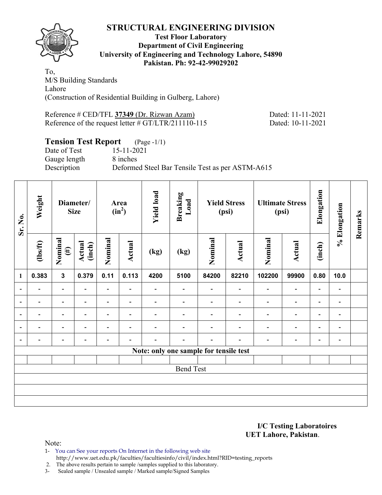

#### **Test Floor Laboratory Department of Civil Engineering University of Engineering and Technology Lahore, 54890 Pakistan. Ph: 92-42-99029202**

To, M/S Building Standards Lahore (Construction of Residential Building in Gulberg, Lahore)

Reference # CED/TFL **37349** (Dr. Rizwan Azam) Dated: 11-11-2021 Reference of the request letter # GT/LTR/211110-115 Dated: 10-11-2021

## **Tension Test Report** (Page -1/1)

Gauge length 8 inches

Date of Test 15-11-2021 Description Deformed Steel Bar Tensile Test as per ASTM-A615

| Sr. No.                  | Weight                   | <b>Size</b>              | Diameter/                |                          | Area<br>$(in^2)$         | <b>Yield load</b> | <b>Breaking</b><br>Load  |                                        | <b>Yield Stress</b><br>(psi) | <b>Ultimate Stress</b>   | (psi)                    | Elongation               | % Elongation                 | Remarks |
|--------------------------|--------------------------|--------------------------|--------------------------|--------------------------|--------------------------|-------------------|--------------------------|----------------------------------------|------------------------------|--------------------------|--------------------------|--------------------------|------------------------------|---------|
|                          | $\frac{2}{10}$           | Nominal<br>$(\#)$        | Actual<br>(inch)         | Nominal                  | Actual                   | (kg)              | (kg)                     | Nominal                                | Actual                       | Nominal                  | Actual                   | (inch)                   |                              |         |
| 1                        | 0.383                    | $\mathbf{3}$             | 0.379                    | 0.11                     | 0.113                    | 4200              | 5100                     | 84200                                  | 82210                        | 102200                   | 99900                    | 0.80                     | 10.0                         |         |
| $\blacksquare$           | -                        | ٠                        | $\overline{\phantom{0}}$ | Ξ.                       |                          |                   | $\overline{\phantom{0}}$ | $\overline{\phantom{0}}$               | $\blacksquare$               | $\overline{\phantom{a}}$ | $\overline{\phantom{0}}$ | $\overline{\phantom{0}}$ |                              |         |
| $\blacksquare$           | $\overline{\phantom{0}}$ | $\overline{\phantom{0}}$ | ۰                        | $\blacksquare$           | $\overline{\phantom{0}}$ |                   |                          |                                        | ۰                            | $\overline{\phantom{0}}$ | $\overline{\phantom{a}}$ | $\overline{\phantom{a}}$ |                              |         |
| $\overline{\phantom{a}}$ | -                        | $\overline{\phantom{a}}$ | $\overline{\phantom{0}}$ | $\overline{\phantom{0}}$ | $\overline{\phantom{a}}$ | -                 |                          |                                        | $\overline{\phantom{0}}$     | $\blacksquare$           | $\blacksquare$           | $\overline{\phantom{a}}$ | $\blacksquare$               |         |
| $\blacksquare$           |                          | $\overline{\phantom{0}}$ |                          | -                        | $\blacksquare$           |                   |                          |                                        |                              |                          | $\overline{\phantom{0}}$ | $\overline{\phantom{0}}$ | $\qquad \qquad \blacksquare$ |         |
| $\overline{\phantom{a}}$ | -                        | $\overline{\phantom{0}}$ |                          | -                        | $\blacksquare$           |                   | $\overline{\phantom{0}}$ |                                        |                              | ٠                        | $\overline{a}$           | $\overline{\phantom{a}}$ | $\blacksquare$               |         |
|                          |                          |                          |                          |                          |                          |                   |                          | Note: only one sample for tensile test |                              |                          |                          |                          |                              |         |
|                          |                          |                          |                          |                          |                          |                   |                          |                                        |                              |                          |                          |                          |                              |         |
|                          |                          |                          |                          |                          |                          |                   | <b>Bend Test</b>         |                                        |                              |                          |                          |                          |                              |         |
|                          |                          |                          |                          |                          |                          |                   |                          |                                        |                              |                          |                          |                          |                              |         |
|                          |                          |                          |                          |                          |                          |                   |                          |                                        |                              |                          |                          |                          |                              |         |
|                          |                          |                          |                          |                          |                          |                   |                          |                                        |                              |                          |                          |                          |                              |         |

**I/C Testing Laboratoires UET Lahore, Pakistan**.

Note:

- 1- You can See your reports On Internet in the following web site
	- http://www.uet.edu.pk/faculties/facultiesinfo/civil/index.html?RID=testing\_reports

2. The above results pertain to sample /samples supplied to this laboratory.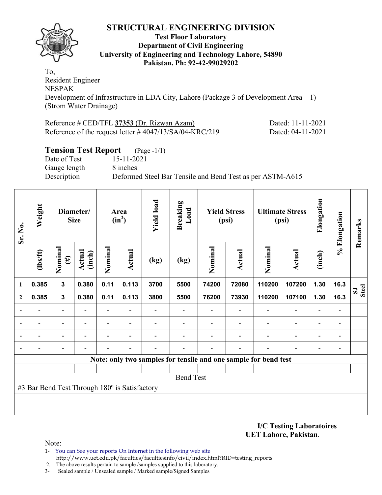

#### **Test Floor Laboratory Department of Civil Engineering University of Engineering and Technology Lahore, 54890 Pakistan. Ph: 92-42-99029202**

To, Resident Engineer NESPAK Development of Infrastructure in LDA City, Lahore (Package 3 of Development Area – 1) (Strom Water Drainage)

| Reference # CED/TFL 37353 (Dr. Rizwan Azam)                | Dated: 11-11-2021 |
|------------------------------------------------------------|-------------------|
| Reference of the request letter $\# 4047/13/SA/04-KRC/219$ | Dated: 04-11-2021 |

## **Tension Test Report** (Page -1/1)

Date of Test 15-11-2021 Gauge length 8 inches

Description Deformed Steel Bar Tensile and Bend Test as per ASTM-A615

| Sr. No.      | Weight                                        |                          | Diameter/<br><b>Size</b> |                          | Area<br>$(in^2)$         | <b>Yield load</b> | <b>Breaking</b><br>Load |         | <b>Yield Stress</b><br>(psi) |                                                                 | <b>Ultimate Stress</b><br>(psi) | Elongation | % Elongation                 | Remarks                      |
|--------------|-----------------------------------------------|--------------------------|--------------------------|--------------------------|--------------------------|-------------------|-------------------------|---------|------------------------------|-----------------------------------------------------------------|---------------------------------|------------|------------------------------|------------------------------|
|              | $\frac{2}{10}$                                | Nominal<br>$(\#)$        | Actual<br>(inch)         | Nominal                  | Actual                   | (kg)              | (kg)                    | Nominal | <b>Actual</b>                | Nominal                                                         | <b>Actual</b>                   | (inch)     |                              |                              |
| 1            | 0.385                                         | $\mathbf{3}$             | 0.380                    | 0.11                     | 0.113                    | 3700              | 5500                    | 74200   | 72080                        | 110200                                                          | 107200                          | 1.30       | 16.3                         | <b>Steel</b><br>$\mathbf{S}$ |
| $\mathbf{2}$ | 0.385                                         | $\mathbf{3}$             | 0.380                    | 0.11                     | 0.113                    | 3800              | 5500                    | 76200   | 73930                        | 110200                                                          | 107100                          | 1.30       | 16.3                         |                              |
|              |                                               | $\overline{\phantom{a}}$ |                          | -                        |                          |                   |                         |         |                              |                                                                 | $\overline{a}$                  |            | $\qquad \qquad \blacksquare$ |                              |
|              |                                               | $\qquad \qquad -$        |                          | $\overline{\phantom{0}}$ | $\overline{\phantom{0}}$ |                   |                         |         |                              |                                                                 | $\overline{\phantom{0}}$        |            | $\qquad \qquad \blacksquare$ |                              |
|              |                                               | -                        |                          |                          |                          |                   |                         |         |                              |                                                                 |                                 |            | $\qquad \qquad$              |                              |
|              |                                               | $\overline{\phantom{0}}$ |                          |                          |                          |                   |                         |         |                              |                                                                 |                                 |            | $\overline{a}$               |                              |
|              |                                               |                          |                          |                          |                          |                   |                         |         |                              | Note: only two samples for tensile and one sample for bend test |                                 |            |                              |                              |
|              |                                               |                          |                          |                          |                          |                   |                         |         |                              |                                                                 |                                 |            |                              |                              |
|              |                                               |                          |                          |                          |                          |                   | <b>Bend Test</b>        |         |                              |                                                                 |                                 |            |                              |                              |
|              | #3 Bar Bend Test Through 180° is Satisfactory |                          |                          |                          |                          |                   |                         |         |                              |                                                                 |                                 |            |                              |                              |
|              |                                               |                          |                          |                          |                          |                   |                         |         |                              |                                                                 |                                 |            |                              |                              |
|              |                                               |                          |                          |                          |                          |                   |                         |         |                              |                                                                 |                                 |            |                              |                              |

**I/C Testing Laboratoires UET Lahore, Pakistan**.

Note:

- 1- You can See your reports On Internet in the following web site http://www.uet.edu.pk/faculties/facultiesinfo/civil/index.html?RID=testing\_reports
- 2. The above results pertain to sample /samples supplied to this laboratory.
- 3- Sealed sample / Unsealed sample / Marked sample/Signed Samples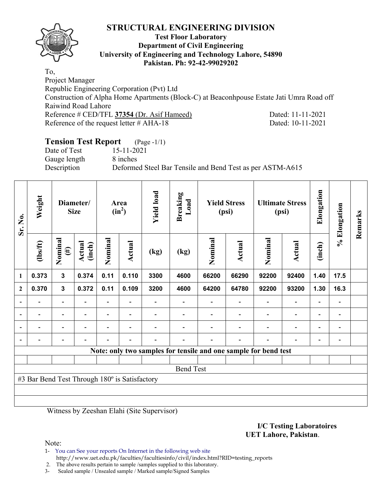

### **Test Floor Laboratory Department of Civil Engineering University of Engineering and Technology Lahore, 54890 Pakistan. Ph: 92-42-99029202**

To,

Project Manager Republic Engineering Corporation (Pvt) Ltd Construction of Alpha Home Apartments (Block-C) at Beaconhpouse Estate Jati Umra Road off Raiwind Road Lahore Reference # CED/TFL **37354** (Dr. Asif Hameed) Dated: 11-11-2021 Reference of the request letter # AHA-18 Dated: 10-11-2021

# **Tension Test Report** (Page -1/1)

Date of Test 15-11-2021 Gauge length 8 inches

Description Deformed Steel Bar Tensile and Bend Test as per ASTM-A615

| Sr. No.        | Weight                                        |                          | Diameter/<br><b>Size</b> |                              | Area<br>$(in^2)$         | <b>Yield load</b> | <b>Breaking</b><br>Load |                                                                 | <b>Yield Stress</b><br>(psi) |                          | <b>Ultimate Stress</b><br>(psi) | Elongation               | % Elongation             | Remarks |
|----------------|-----------------------------------------------|--------------------------|--------------------------|------------------------------|--------------------------|-------------------|-------------------------|-----------------------------------------------------------------|------------------------------|--------------------------|---------------------------------|--------------------------|--------------------------|---------|
|                | $lbsft$                                       | Nominal<br>$(\#)$        | Actual<br>(inch)         | Nominal                      | Actual                   | (kg)              | (kg)                    | Nominal                                                         | Actual                       | Nominal                  | Actual                          | (inch)                   |                          |         |
| 1              | 0.373                                         | $\mathbf{3}$             | 0.374                    | 0.11                         | 0.110                    | 3300              | 4600                    | 66200                                                           | 66290                        | 92200                    | 92400                           | 1.40                     | 17.5                     |         |
| $\mathbf{2}$   | 0.370                                         | $\mathbf{3}$             | 0.372                    | 0.11                         | 0.109                    | 3200              | 4600                    | 64200                                                           | 64780                        | 92200                    | 93200                           | 1.30                     | 16.3                     |         |
|                | $\overline{\phantom{0}}$                      | $\blacksquare$           | $\blacksquare$           | $\qquad \qquad \blacksquare$ |                          |                   |                         |                                                                 | $\overline{\phantom{a}}$     | $\overline{\phantom{a}}$ | $\overline{\phantom{a}}$        | $\overline{\phantom{0}}$ |                          |         |
| $\blacksquare$ |                                               | $\overline{\phantom{0}}$ |                          |                              |                          |                   |                         |                                                                 |                              |                          |                                 | $\overline{\phantom{0}}$ | $\overline{\phantom{a}}$ |         |
| $\blacksquare$ | $\overline{\phantom{0}}$                      | $\overline{\phantom{0}}$ | $\blacksquare$           |                              | $\overline{\phantom{0}}$ |                   |                         |                                                                 | $\blacksquare$               | $\overline{\phantom{0}}$ | $\blacksquare$                  | $\blacksquare$           | $\blacksquare$           |         |
|                |                                               | -                        |                          |                              |                          |                   |                         |                                                                 | $\overline{\phantom{0}}$     | $\overline{\phantom{0}}$ |                                 | ٠                        |                          |         |
|                |                                               |                          |                          |                              |                          |                   |                         | Note: only two samples for tensile and one sample for bend test |                              |                          |                                 |                          |                          |         |
|                |                                               |                          |                          |                              |                          |                   |                         |                                                                 |                              |                          |                                 |                          |                          |         |
|                | <b>Bend Test</b>                              |                          |                          |                              |                          |                   |                         |                                                                 |                              |                          |                                 |                          |                          |         |
|                | #3 Bar Bend Test Through 180° is Satisfactory |                          |                          |                              |                          |                   |                         |                                                                 |                              |                          |                                 |                          |                          |         |
|                |                                               |                          |                          |                              |                          |                   |                         |                                                                 |                              |                          |                                 |                          |                          |         |
|                |                                               |                          |                          |                              |                          |                   |                         |                                                                 |                              |                          |                                 |                          |                          |         |

Witness by Zeeshan Elahi (Site Supervisor)

**I/C Testing Laboratoires UET Lahore, Pakistan**.

Note:

1- You can See your reports On Internet in the following web site http://www.uet.edu.pk/faculties/facultiesinfo/civil/index.html?RID=testing\_reports

2. The above results pertain to sample /samples supplied to this laboratory.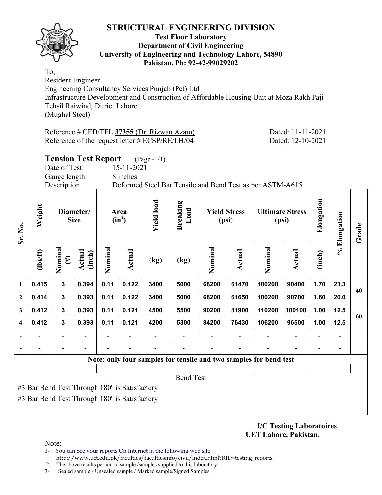### **Test Floor Laboratory Department of Civil Engineering University of Engineering and Technology Lahore, 54890 Pakistan. Ph: 92-42-99029202**

To, Resident Engineer Engineering Consultancy Services Punjab (Pct) Ltd Infrastructure Development and Construction of Affordable Housing Unit at Moza Rakh Paji Tehsil Raiwind, Ditrict Lahore (Mughal Steel)

Reference # CED/TFL **37355** (Dr. Rizwan Azam) Dated: 11-11-2021 Reference of the request letter # ECSP/RE/LH/04 Dated: 12-10-2021

**Tension Test Report** (Page -1/1)

Date of Test 15-11-2021

Gauge length 8 inches

Description Deformed Steel Bar Tensile and Bend Test as per ASTM-A615

| Sr. No.      | Weight                                        |                   | Diameter/<br><b>Size</b> |                          | Area<br>$(in^2)$         | <b>Yield load</b> | <b>Breaking</b><br>Load                                           |         | <b>Yield Stress</b><br>(psi) |                | <b>Ultimate Stress</b><br>(psi) | Elongation               | % Elongation | Grade |
|--------------|-----------------------------------------------|-------------------|--------------------------|--------------------------|--------------------------|-------------------|-------------------------------------------------------------------|---------|------------------------------|----------------|---------------------------------|--------------------------|--------------|-------|
|              | (1bs/ft)                                      | Nominal<br>$(\#)$ | <b>Actual</b><br>(inch)  | Nominal                  | Actual                   | (kg)              | (kg)                                                              | Nominal | Actual                       | Nominal        | <b>Actual</b>                   | (inch)                   |              |       |
| 1            | 0.415                                         | 3                 | 0.394                    | 0.11                     | 0.122                    | 3400              | 5000                                                              | 68200   | 61470                        | 100200         | 90400                           | 1.70                     | 21.3         | 40    |
| $\mathbf{2}$ | 0.414                                         | 3                 | 0.393                    | 0.11                     | 0.122                    | 3400              | 5000                                                              | 68200   | 61650                        | 100200         | 90700                           | 1.60                     | 20.0         |       |
| 3            | 0.412                                         | 3                 | 0.393                    | 0.11                     | 0.121                    | 4500              | 5500                                                              | 90200   | 81900                        | 110200         | 100100                          | 1.00                     | 12.5         | 60    |
| 4            | 0.412                                         | $\mathbf{3}$      | 0.393                    | 0.11                     | 0.121                    | 4200              | 5300                                                              | 84200   | 76430                        | 106200         | 96500                           | 1.00                     | 12.5         |       |
|              |                                               | $\blacksquare$    |                          | $\overline{\phantom{0}}$ |                          |                   |                                                                   |         |                              | $\blacksquare$ | $\blacksquare$                  | $\overline{\phantom{a}}$ |              |       |
|              |                                               | $\overline{a}$    |                          |                          | $\overline{\phantom{a}}$ |                   |                                                                   |         | $\overline{\phantom{0}}$     |                |                                 | $\overline{\phantom{0}}$ |              |       |
|              |                                               |                   |                          |                          |                          |                   | Note: only four samples for tensile and two samples for bend test |         |                              |                |                                 |                          |              |       |
|              |                                               |                   |                          |                          |                          |                   |                                                                   |         |                              |                |                                 |                          |              |       |
|              |                                               |                   |                          |                          |                          |                   | <b>Bend Test</b>                                                  |         |                              |                |                                 |                          |              |       |
|              | #3 Bar Bend Test Through 180° is Satisfactory |                   |                          |                          |                          |                   |                                                                   |         |                              |                |                                 |                          |              |       |
|              | #3 Bar Bend Test Through 180° is Satisfactory |                   |                          |                          |                          |                   |                                                                   |         |                              |                |                                 |                          |              |       |
|              |                                               |                   |                          |                          |                          |                   |                                                                   |         |                              |                |                                 |                          |              |       |

**I/C Testing Laboratoires UET Lahore, Pakistan**.

Note:

- 1- You can See your reports On Internet in the following web site http://www.uet.edu.pk/faculties/facultiesinfo/civil/index.html?RID=testing\_reports
- 2. The above results pertain to sample /samples supplied to this laboratory.

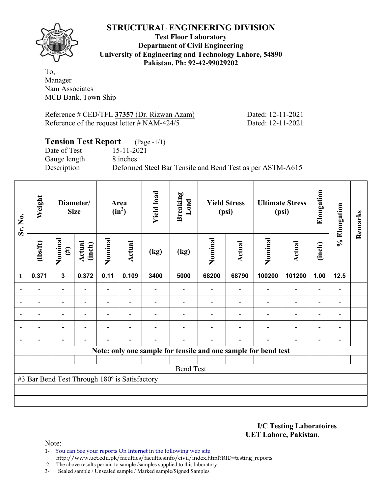

**Test Floor Laboratory Department of Civil Engineering University of Engineering and Technology Lahore, 54890 Pakistan. Ph: 92-42-99029202** 

To, Manager Nam Associates MCB Bank, Town Ship

Reference # CED/TFL **37357** (Dr. Rizwan Azam) Dated: 12-11-2021 Reference of the request letter # NAM-424/5 Dated: 12-11-2021

## **Tension Test Report** (Page -1/1)

Date of Test 15-11-2021 Gauge length 8 inches

Description Deformed Steel Bar Tensile and Bend Test as per ASTM-A615

| Sr. No. | Weight                                        |                          | Diameter/<br><b>Size</b> |                | Area<br>$(in^2)$ | <b>Yield load</b> | <b>Breaking</b><br>Load |                                                                | <b>Yield Stress</b><br>(psi) |                          | <b>Ultimate Stress</b><br>(psi) | Elongation               | % Elongation                 | Remarks |
|---------|-----------------------------------------------|--------------------------|--------------------------|----------------|------------------|-------------------|-------------------------|----------------------------------------------------------------|------------------------------|--------------------------|---------------------------------|--------------------------|------------------------------|---------|
|         | $\frac{2}{10}$                                | Nominal<br>$(\#)$        | Actual<br>(inch)         | Nominal        | <b>Actual</b>    | (kg)              | (kg)                    | Nominal                                                        | Actual                       | Nominal                  | <b>Actual</b>                   | (inch)                   |                              |         |
| 1       | 0.371                                         | $\mathbf{3}$             | 0.372                    | 0.11           | 0.109            | 3400              | 5000                    | 68200                                                          | 68790                        | 100200                   | 101200                          | 1.00                     | $12.5$                       |         |
|         | $\blacksquare$                                | $\blacksquare$           |                          | ۰              | $\blacksquare$   |                   |                         |                                                                | $\blacksquare$               | $\overline{\phantom{0}}$ | $\overline{\phantom{0}}$        | $\blacksquare$           |                              |         |
|         |                                               | $\overline{\phantom{0}}$ |                          | $\blacksquare$ |                  |                   |                         |                                                                |                              |                          | $\overline{\phantom{0}}$        | $\overline{\phantom{0}}$ | $\qquad \qquad \blacksquare$ |         |
|         | $\blacksquare$                                | $\overline{\phantom{0}}$ |                          |                | ۰                |                   |                         |                                                                |                              |                          | $\overline{\phantom{0}}$        | $\overline{\phantom{0}}$ | $\qquad \qquad \blacksquare$ |         |
|         | $\blacksquare$                                | $\blacksquare$           | $\blacksquare$           |                | $\blacksquare$   |                   |                         |                                                                |                              | $\overline{\phantom{a}}$ | $\overline{\phantom{0}}$        | $\overline{\phantom{0}}$ | $\overline{\phantom{0}}$     |         |
|         | $\blacksquare$                                | $\overline{\phantom{0}}$ |                          |                | ۰                |                   |                         |                                                                | $\blacksquare$               | ۰                        | $\overline{\phantom{0}}$        | $\overline{\phantom{a}}$ | $\blacksquare$               |         |
|         |                                               |                          |                          |                |                  |                   |                         | Note: only one sample for tensile and one sample for bend test |                              |                          |                                 |                          |                              |         |
|         |                                               |                          |                          |                |                  |                   |                         |                                                                |                              |                          |                                 |                          |                              |         |
|         |                                               |                          |                          |                |                  |                   | <b>Bend Test</b>        |                                                                |                              |                          |                                 |                          |                              |         |
|         | #3 Bar Bend Test Through 180° is Satisfactory |                          |                          |                |                  |                   |                         |                                                                |                              |                          |                                 |                          |                              |         |
|         |                                               |                          |                          |                |                  |                   |                         |                                                                |                              |                          |                                 |                          |                              |         |
|         |                                               |                          |                          |                |                  |                   |                         |                                                                |                              |                          |                                 |                          |                              |         |

**I/C Testing Laboratoires UET Lahore, Pakistan**.

Note:

1- You can See your reports On Internet in the following web site http://www.uet.edu.pk/faculties/facultiesinfo/civil/index.html?RID=testing\_reports

2. The above results pertain to sample /samples supplied to this laboratory.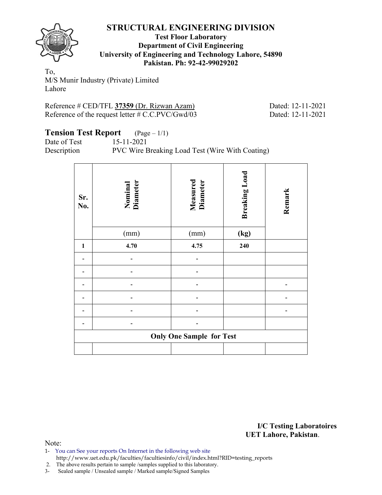

#### **Test Floor Laboratory Department of Civil Engineering University of Engineering and Technology Lahore, 54890 Pakistan. Ph: 92-42-99029202**

To, M/S Munir Industry (Private) Limited Lahore

Reference # CED/TFL **37359** (Dr. Rizwan Azam) Dated: 12-11-2021 Reference of the request letter # C.C.PVC/Gwd/03 Dated: 12-11-2021

#### **Tension Test Report** (Page – 1/1) Date of Test 15-11-2021

Description PVC Wire Breaking Load Test (Wire With Coating)

| Sr.<br>No.   | Nominal<br>Diameter | <b>Measured</b><br>Diameter     | <b>Breaking Load</b> | Remark |
|--------------|---------------------|---------------------------------|----------------------|--------|
|              | (mm)                | (mm)                            | (kg)                 |        |
| $\mathbf{1}$ | 4.70                | 4.75                            | 240                  |        |
|              |                     |                                 |                      |        |
|              |                     |                                 |                      |        |
|              |                     |                                 |                      |        |
|              |                     |                                 |                      |        |
|              |                     |                                 |                      |        |
|              |                     |                                 |                      |        |
|              |                     | <b>Only One Sample for Test</b> |                      |        |
|              |                     |                                 |                      |        |

**I/C Testing Laboratoires UET Lahore, Pakistan**.

Note:

1- You can See your reports On Internet in the following web site http://www.uet.edu.pk/faculties/facultiesinfo/civil/index.html?RID=testing\_reports

2. The above results pertain to sample /samples supplied to this laboratory.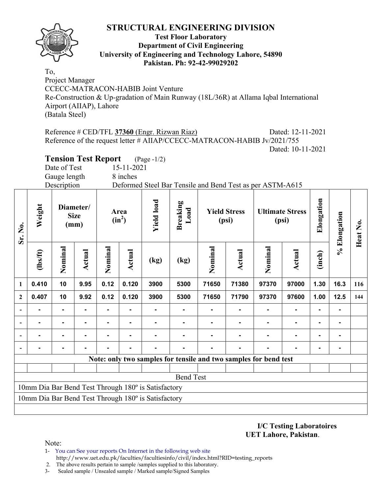

#### **Test Floor Laboratory Department of Civil Engineering University of Engineering and Technology Lahore, 54890 Pakistan. Ph: 92-42-99029202**

To, Project Manager CCECC-MATRACON-HABIB Joint Venture Re-Construction & Up-gradation of Main Runway (18L/36R) at Allama Iqbal International Airport (AIIAP), Lahore (Batala Steel)

Reference # CED/TFL **37360** (Engr. Rizwan Riaz) Dated: 12-11-2021 Reference of the request letter # AIIAP/CCECC-MATRACON-HABIB Jv/2021/755 Dated: 10-11-2021

**Tension Test Report** (Page -1/2)

Date of Test 15-11-2021

Gauge length 8 inches

Description Deformed Steel Bar Tensile and Bend Test as per ASTM-A615

| Sr. No.        | Weight         |                | Diameter/<br><b>Size</b><br>(mm) |                | Area<br>$(in^2)$ | <b>Yield load</b>                                   | <b>Breaking</b><br>Load                                          |         | <b>Yield Stress</b><br>(psi) |                | <b>Ultimate Stress</b><br>(psi) | Elongation     | % Elongation | Heat No. |
|----------------|----------------|----------------|----------------------------------|----------------|------------------|-----------------------------------------------------|------------------------------------------------------------------|---------|------------------------------|----------------|---------------------------------|----------------|--------------|----------|
|                | (1bs/ft)       | Nominal        | <b>Actual</b>                    | Nominal        | Actual           | (kg)                                                | (kg)                                                             | Nominal | <b>Actual</b>                | Nominal        | <b>Actual</b>                   | (inch)         |              |          |
| $\mathbf{1}$   | 0.410          | 10             | 9.95                             | 0.12           | 0.120            | 3900                                                | 5300                                                             | 71650   | 71380                        | 97370          | 97000                           | 1.30           | 16.3         | 116      |
| $\overline{2}$ | 0.407          | 10             | 9.92                             | 0.12           | 0.120            | 3900                                                | 5300                                                             | 71650   | 71790                        | 97370          | 97600                           | 1.00           | 12.5         | 144      |
|                |                | $\blacksquare$ | ۰.                               |                |                  |                                                     |                                                                  |         |                              |                | $\blacksquare$                  | $\blacksquare$ |              |          |
|                | $\blacksquare$ | ۰              | ۰                                | $\blacksquare$ | ۰                |                                                     | ۰                                                                |         | -                            | $\blacksquare$ | $\blacksquare$                  |                | -            |          |
|                |                | $\blacksquare$ |                                  |                | ۰                |                                                     |                                                                  |         |                              |                | $\blacksquare$                  | $\blacksquare$ | -            |          |
|                |                |                |                                  |                |                  |                                                     |                                                                  |         |                              |                |                                 | ۰              |              |          |
|                |                |                |                                  |                |                  |                                                     | Note: only two samples for tensile and two samples for bend test |         |                              |                |                                 |                |              |          |
|                |                |                |                                  |                |                  |                                                     |                                                                  |         |                              |                |                                 |                |              |          |
|                |                |                |                                  |                |                  |                                                     | <b>Bend Test</b>                                                 |         |                              |                |                                 |                |              |          |
|                |                |                |                                  |                |                  | 10mm Dia Bar Bend Test Through 180° is Satisfactory |                                                                  |         |                              |                |                                 |                |              |          |
|                |                |                |                                  |                |                  | 10mm Dia Bar Bend Test Through 180° is Satisfactory |                                                                  |         |                              |                |                                 |                |              |          |
|                |                |                |                                  |                |                  |                                                     |                                                                  |         |                              |                |                                 |                |              |          |

**I/C Testing Laboratoires UET Lahore, Pakistan**.

Note:

- 1- You can See your reports On Internet in the following web site http://www.uet.edu.pk/faculties/facultiesinfo/civil/index.html?RID=testing\_reports
- 2. The above results pertain to sample /samples supplied to this laboratory.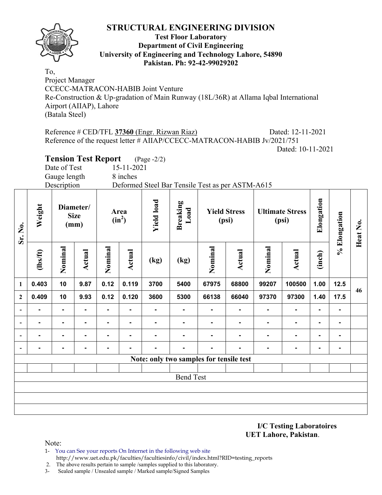

#### **Test Floor Laboratory Department of Civil Engineering University of Engineering and Technology Lahore, 54890 Pakistan. Ph: 92-42-99029202**

To, Project Manager CCECC-MATRACON-HABIB Joint Venture Re-Construction & Up-gradation of Main Runway (18L/36R) at Allama Iqbal International Airport (AIIAP), Lahore (Batala Steel)

Reference # CED/TFL 37360 (Engr. Rizwan Riaz) Dated: 12-11-2021 Reference of the request letter # AIIAP/CCECC-MATRACON-HABIB Jv/2021/751 Dated: 10-11-2021

**Tension Test Report** (Page -2/2)

Date of Test 15-11-2021

Gauge length 8 inches

Description Deformed Steel Bar Tensile Test as per ASTM-A615

| Sr. No.                  | Weight         |                | Diameter/<br><b>Size</b><br>(mm) |                | Area<br>$(in^2)$ | <b>Yield load</b> | <b>Breaking</b><br>Load                 |                | <b>Yield Stress</b><br>(psi) |                | <b>Ultimate Stress</b><br>(psi) | Elongation     | % Elongation | Heat No. |
|--------------------------|----------------|----------------|----------------------------------|----------------|------------------|-------------------|-----------------------------------------|----------------|------------------------------|----------------|---------------------------------|----------------|--------------|----------|
|                          | $\frac{2}{10}$ | Nominal        | <b>Actual</b>                    | Nominal        | <b>Actual</b>    | (kg)              | (kg)                                    | Nominal        | <b>Actual</b>                | Nominal        | <b>Actual</b>                   | (inch)         |              |          |
| 1                        | 0.403          | 10             | 9.87                             | 0.12           | 0.119            | 3700              | 5400                                    | 67975          | 68800                        | 99207          | 100500                          | 1.00           | 12.5         | 46       |
| $\overline{2}$           | 0.409          | 10             | 9.93                             | 0.12           | 0.120            | 3600              | 5300                                    | 66138          | 66040                        | 97370          | 97300                           | 1.40           | 17.5         |          |
| $\overline{\phantom{a}}$ | $\blacksquare$ | $\blacksquare$ |                                  | $\blacksquare$ | $\blacksquare$   |                   | $\blacksquare$                          | $\blacksquare$ | ۰                            | $\blacksquare$ | $\blacksquare$                  | $\blacksquare$ | ٠            |          |
| $\overline{\phantom{a}}$ |                | ۰              | $\blacksquare$                   | $\blacksquare$ | ۰                |                   | $\blacksquare$                          |                |                              |                | $\blacksquare$                  | $\blacksquare$ |              |          |
| $\blacksquare$           | $\blacksquare$ | $\blacksquare$ | $\blacksquare$                   | $\blacksquare$ | $\blacksquare$   | $\blacksquare$    | $\blacksquare$                          | $\blacksquare$ | ۰.                           | $\blacksquare$ | $\blacksquare$                  | $\blacksquare$ | ٠            |          |
| $\blacksquare$           | $\blacksquare$ | ۰              | $\blacksquare$                   |                | $\blacksquare$   |                   | ۰                                       | $\blacksquare$ | $\blacksquare$               | $\blacksquare$ | $\blacksquare$                  | $\blacksquare$ | ٠            |          |
|                          |                |                |                                  |                |                  |                   | Note: only two samples for tensile test |                |                              |                |                                 |                |              |          |
|                          |                |                |                                  |                |                  |                   |                                         |                |                              |                |                                 |                |              |          |
|                          |                |                |                                  |                |                  |                   | <b>Bend Test</b>                        |                |                              |                |                                 |                |              |          |
|                          |                |                |                                  |                |                  |                   |                                         |                |                              |                |                                 |                |              |          |
|                          |                |                |                                  |                |                  |                   |                                         |                |                              |                |                                 |                |              |          |
|                          |                |                |                                  |                |                  |                   |                                         |                |                              |                |                                 |                |              |          |

**I/C Testing Laboratoires UET Lahore, Pakistan**.

Note:

1- You can See your reports On Internet in the following web site http://www.uet.edu.pk/faculties/facultiesinfo/civil/index.html?RID=testing\_reports

2. The above results pertain to sample /samples supplied to this laboratory.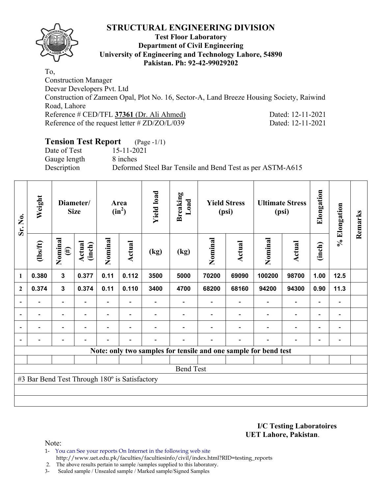

#### **Test Floor Laboratory Department of Civil Engineering University of Engineering and Technology Lahore, 54890 Pakistan. Ph: 92-42-99029202**

To, Construction Manager Deevar Developers Pvt. Ltd Construction of Zameen Opal, Plot No. 16, Sector-A, Land Breeze Housing Society, Raiwind Road, Lahore Reference # CED/TFL **37361** (Dr. Ali Ahmed) Dated: 12-11-2021 Reference of the request letter # ZD/ZO/L/039 Dated: 12-11-2021

## **Tension Test Report** (Page -1/1)

Date of Test 15-11-2021 Gauge length 8 inches

Description Deformed Steel Bar Tensile and Bend Test as per ASTM-A615

| Sr. No.                  | Weight                                        |                          | Diameter/<br><b>Size</b> |                          | Area<br>$(in^2)$         | <b>Yield load</b>        | <b>Breaking</b><br>Load |         | <b>Yield Stress</b><br>(psi) |                                                                 | <b>Ultimate Stress</b><br>(psi) | Elongation               | % Elongation                 | Remarks |
|--------------------------|-----------------------------------------------|--------------------------|--------------------------|--------------------------|--------------------------|--------------------------|-------------------------|---------|------------------------------|-----------------------------------------------------------------|---------------------------------|--------------------------|------------------------------|---------|
|                          | $\frac{2}{10}$                                | Nominal<br>$(\#)$        | Actual<br>(inch)         | Nominal                  | Actual                   | (kg)                     | (kg)                    | Nominal | Actual                       | Nominal                                                         | Actual                          | (inch)                   |                              |         |
| $\mathbf{1}$             | 0.380                                         | 3                        | 0.377                    | 0.11                     | 0.112                    | 3500                     | 5000                    | 70200   | 69090                        | 100200                                                          | 98700                           | 1.00                     | $12.5$                       |         |
| $\mathbf{2}$             | 0.374                                         | $\mathbf{3}$             | 0.374                    | 0.11                     | 0.110                    | 3400                     | 4700                    | 68200   | 68160                        | 94200                                                           | 94300                           | 0.90                     | 11.3                         |         |
|                          |                                               | $\overline{\phantom{0}}$ |                          |                          |                          |                          |                         |         |                              |                                                                 |                                 |                          | -                            |         |
| $\overline{\phantom{a}}$ | $\overline{\phantom{a}}$                      | $\blacksquare$           | $\blacksquare$           | $\blacksquare$           | $\overline{\phantom{a}}$ |                          |                         |         |                              |                                                                 | $\overline{\phantom{a}}$        | $\overline{\phantom{a}}$ | $\overline{\phantom{a}}$     |         |
| $\overline{a}$           | $\overline{\phantom{0}}$                      | Ξ.                       |                          | $\overline{\phantom{0}}$ | $\overline{\phantom{0}}$ |                          |                         |         |                              |                                                                 | $\overline{\phantom{0}}$        | $\overline{\phantom{a}}$ | $\qquad \qquad \blacksquare$ |         |
|                          | -                                             | $\overline{\phantom{0}}$ | $\overline{\phantom{0}}$ | $\overline{\phantom{0}}$ | $\blacksquare$           | $\overline{\phantom{0}}$ |                         |         | $\overline{\phantom{0}}$     |                                                                 | $\overline{\phantom{0}}$        | $\overline{\phantom{0}}$ | $\qquad \qquad \blacksquare$ |         |
|                          |                                               |                          |                          |                          |                          |                          |                         |         |                              | Note: only two samples for tensile and one sample for bend test |                                 |                          |                              |         |
|                          |                                               |                          |                          |                          |                          |                          |                         |         |                              |                                                                 |                                 |                          |                              |         |
|                          |                                               |                          |                          |                          |                          |                          | <b>Bend Test</b>        |         |                              |                                                                 |                                 |                          |                              |         |
|                          | #3 Bar Bend Test Through 180° is Satisfactory |                          |                          |                          |                          |                          |                         |         |                              |                                                                 |                                 |                          |                              |         |
|                          |                                               |                          |                          |                          |                          |                          |                         |         |                              |                                                                 |                                 |                          |                              |         |
|                          |                                               |                          |                          |                          |                          |                          |                         |         |                              |                                                                 |                                 |                          |                              |         |

**I/C Testing Laboratoires UET Lahore, Pakistan**.

Note:

- 1- You can See your reports On Internet in the following web site http://www.uet.edu.pk/faculties/facultiesinfo/civil/index.html?RID=testing\_reports
- 2. The above results pertain to sample /samples supplied to this laboratory.
- 3- Sealed sample / Unsealed sample / Marked sample/Signed Samples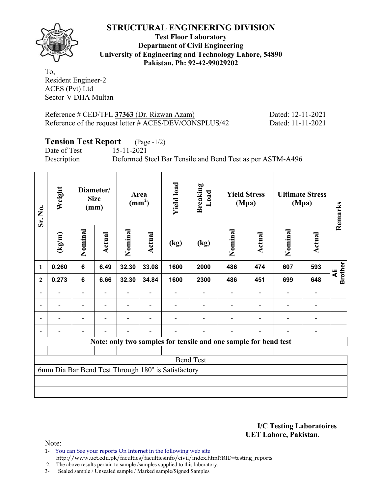

**Test Floor Laboratory Department of Civil Engineering University of Engineering and Technology Lahore, 54890 Pakistan. Ph: 92-42-99029202** 

To, Resident Engineer-2 ACES (Pvt) Ltd Sector-V DHA Multan

Reference # CED/TFL **37363** (Dr. Rizwan Azam) Dated: 12-11-2021 Reference of the request letter # ACES/DEV/CONSPLUS/42 Dated: 11-11-2021

## **Tension Test Report** (Page -1/2)

Date of Test 15-11-2021

Description Deformed Steel Bar Tensile and Bend Test as per ASTM-A496

| Sr. No.        | Weight |                | Diameter/<br><b>Size</b><br>(mm) |         | Area<br>$\text{(mm}^2)$ | <b>Yield load</b>                                  | <b>Breaking</b><br>Load                                         |                          | <b>Yield Stress</b><br>(Mpa) |         | <b>Ultimate Stress</b><br>(Mpa) | Remarks                            |
|----------------|--------|----------------|----------------------------------|---------|-------------------------|----------------------------------------------------|-----------------------------------------------------------------|--------------------------|------------------------------|---------|---------------------------------|------------------------------------|
|                | (kg/m) | Nominal        | Actual                           | Nominal | Actual                  | (kg)                                               | (kg)                                                            | Nominal                  | Actual                       | Nominal | Actual                          |                                    |
| 1              | 0.260  | $6\phantom{a}$ | 6.49                             | 32.30   | 33.08                   | 1600                                               | 2000                                                            | 486                      | 474                          | 607     | 593                             | <b>Brother</b><br>$\ddot{\bar{z}}$ |
| $\mathbf{2}$   | 0.273  | $6\phantom{1}$ | 6.66                             | 32.30   | 34.84                   | 1600                                               | 2300                                                            | 486                      | 451                          | 699     | 648                             |                                    |
|                |        |                |                                  |         |                         |                                                    |                                                                 |                          |                              |         |                                 |                                    |
| $\blacksquare$ |        |                | ۰                                |         |                         |                                                    | $\overline{\phantom{a}}$                                        | $\overline{\phantom{0}}$ |                              |         | $\qquad \qquad \blacksquare$    |                                    |
|                |        |                |                                  |         |                         |                                                    | $\overline{a}$                                                  |                          |                              |         |                                 |                                    |
|                |        |                |                                  |         |                         |                                                    |                                                                 |                          |                              |         |                                 |                                    |
|                |        |                |                                  |         |                         |                                                    | Note: only two samples for tensile and one sample for bend test |                          |                              |         |                                 |                                    |
|                |        |                |                                  |         |                         |                                                    |                                                                 |                          |                              |         |                                 |                                    |
|                |        |                |                                  |         |                         |                                                    | <b>Bend Test</b>                                                |                          |                              |         |                                 |                                    |
|                |        |                |                                  |         |                         | 6mm Dia Bar Bend Test Through 180° is Satisfactory |                                                                 |                          |                              |         |                                 |                                    |
|                |        |                |                                  |         |                         |                                                    |                                                                 |                          |                              |         |                                 |                                    |
|                |        |                |                                  |         |                         |                                                    |                                                                 |                          |                              |         |                                 |                                    |

**I/C Testing Laboratoires UET Lahore, Pakistan**.

Note:

1- You can See your reports On Internet in the following web site http://www.uet.edu.pk/faculties/facultiesinfo/civil/index.html?RID=testing\_reports

2. The above results pertain to sample /samples supplied to this laboratory.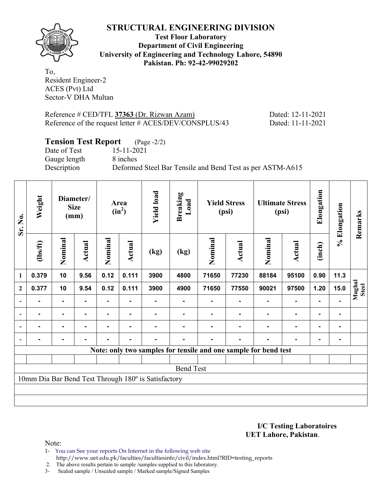

**Test Floor Laboratory Department of Civil Engineering University of Engineering and Technology Lahore, 54890 Pakistan. Ph: 92-42-99029202** 

To, Resident Engineer-2 ACES (Pvt) Ltd Sector-V DHA Multan

Reference # CED/TFL **37363** (Dr. Rizwan Azam) Dated: 12-11-2021 Reference of the request letter # ACES/DEV/CONSPLUS/43 Dated: 11-11-2021

## **Tension Test Report** (Page -2/2)

Gauge length 8 inches

Date of Test 15-11-2021 Description Deformed Steel Bar Tensile and Bend Test as per ASTM-A615

| Sr. No.        | Weight         |                | Diameter/<br><b>Size</b><br>(mm) |         | Area<br>$(in^2)$ | <b>Yield load</b>                                   | <b>Breaking</b><br>Load                                         |         | <b>Yield Stress</b><br>(psi) |         | <b>Ultimate Stress</b><br>(psi) | Elongation     | % Elongation | Remarks         |
|----------------|----------------|----------------|----------------------------------|---------|------------------|-----------------------------------------------------|-----------------------------------------------------------------|---------|------------------------------|---------|---------------------------------|----------------|--------------|-----------------|
|                | $\frac{2}{10}$ | Nominal        | Actual                           | Nominal | <b>Actual</b>    | (kg)                                                | (kg)                                                            | Nominal | <b>Actual</b>                | Nominal | <b>Actual</b>                   | (inch)         |              |                 |
| 1              | 0.379          | 10             | 9.56                             | 0.12    | 0.111            | 3900                                                | 4800                                                            | 71650   | 77230                        | 88184   | 95100                           | 0.90           | 11.3         |                 |
| $\mathbf{2}$   | 0.377          | 10             | 9.54                             | 0.12    | 0.111            | 3900                                                | 4900                                                            | 71650   | 77550                        | 90021   | 97500                           | 1.20           | 15.0         | Mughal<br>Steel |
| $\blacksquare$ | ۰              | ۰              |                                  |         | $\blacksquare$   |                                                     |                                                                 |         |                              |         | $\blacksquare$                  | $\blacksquare$ |              |                 |
|                | ۰              | $\blacksquare$ | $\blacksquare$                   |         | $\blacksquare$   |                                                     |                                                                 |         | $\blacksquare$               |         | $\blacksquare$                  | $\blacksquare$ |              |                 |
|                | ۰              | ۰              | $\blacksquare$                   | ٠       | $\blacksquare$   |                                                     |                                                                 |         |                              |         | $\blacksquare$                  | $\blacksquare$ |              |                 |
|                |                | ۰.             |                                  |         | $\blacksquare$   |                                                     |                                                                 |         | -                            |         | $\blacksquare$                  | $\blacksquare$ |              |                 |
|                |                |                |                                  |         |                  |                                                     | Note: only two samples for tensile and one sample for bend test |         |                              |         |                                 |                |              |                 |
|                |                |                |                                  |         |                  |                                                     |                                                                 |         |                              |         |                                 |                |              |                 |
|                |                |                |                                  |         |                  |                                                     | <b>Bend Test</b>                                                |         |                              |         |                                 |                |              |                 |
|                |                |                |                                  |         |                  | 10mm Dia Bar Bend Test Through 180° is Satisfactory |                                                                 |         |                              |         |                                 |                |              |                 |
|                |                |                |                                  |         |                  |                                                     |                                                                 |         |                              |         |                                 |                |              |                 |
|                |                |                |                                  |         |                  |                                                     |                                                                 |         |                              |         |                                 |                |              |                 |

#### **I/C Testing Laboratoires UET Lahore, Pakistan**.

Note:

- 1- You can See your reports On Internet in the following web site http://www.uet.edu.pk/faculties/facultiesinfo/civil/index.html?RID=testing\_reports
- 2. The above results pertain to sample /samples supplied to this laboratory.
- 3- Sealed sample / Unsealed sample / Marked sample/Signed Samples